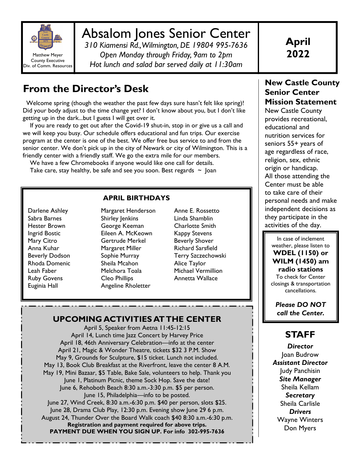

# Absalom Jones Senior Center

*310 Kiamensi Rd., Wilmington, DE 19804 995-7636 Open Monday through Friday, 9am to 2pm Hot lunch and salad bar served daily at 11:30am* 

**April 2022** 

# **From the Director's Desk**

 Welcome spring (though the weather the past few days sure hasn't felt like spring)! Did your body adjust to the time change yet? I don't know about you, but I don't like getting up in the dark...but I guess I will get over it.

 If you are ready to get out after the Covid-19 shut-in, stop in or give us a call and we will keep you busy. Our schedule offers educational and fun trips. Our exercise program at the center is one of the best. We offer free bus service to and from the senior center. We don't pick up in the city of Newark or city of Wilmington. This is a friendly center with a friendly staff. We go the extra mile for our members.

 We have a few Chromebooks if anyone would like one call for details. Take care, stay healthy, be safe and see you soon. Best regards  $\sim$  Joan

#### **APRIL BIRTHDAYS**

Darlene Ashley Sabra Barnes Hester Brown Ingrid Bostic Mary Citro Anna Kuhar Beverly Dodson Rhoda Domenic Leah Faber Ruby Govens Euginia Hall

Margaret Henderson Shirley Jenkins George Keeman Eileen A. McKeown Gertrude Merkel Margaret Miller Sophie Murray Sheila Mcahon Melchora Toala Cleo Phillips Angeline Rholetter

Anne E. Rossetto Linda Shamblin Charlotte Smith Kappy Stevens Beverly Shover Richard Sarsfield Terry Szczechowski Alice Taylor Michael Vermillion Annetta Wallace

#### **UPCOMING ACTIVITIES AT THE CENTER**

April 5, Speaker from Aetna 11:45-12:15 April 14, Lunch time Jazz Concert by Harvey Price April 18, 46th Anniversary Celebration—info at the center April 21, Magic & Wonder Theatre, tickets \$32 3 P.M. Show May 9, Grounds for Sculpture, \$15 ticket. Lunch not included. May 13, Book Club Breakfast at the Riverfront, leave the center 8 A.M. May 19, Mini Bazaar, \$5 Table, Bake Sale, volunteers to help. Thank you June 1, Platinum Picnic, theme Sock Hop. Save the date! June 6, Rehoboth Beach 8:30 a.m.-3:30 p.m. \$5 per person. June 15, Philadelphia—info to be posted. June 27, Wind Creek, 8:30 a.m.-6:30 p.m. \$40 per person, slots \$25. June 28, Drama Club Play, 12:30 p.m. Evening show June 29 6 p.m. August 24, Thunder Over the Board Walk coach \$40 8:30 a.m.-6:30 p.m. **Registration and payment required for above trips. PAYMENT DUE WHEN YOU SIGN UP. For info 302-995-7636** 

#### **New Castle County Senior Center Mission Statement**

New Castle County provides recreational, educational and nutrition services for seniors 55+ years of age regardless of race, religion, sex, ethnic origin or handicap. All those attending the Center must be able to take care of their personal needs and make independent decisions as they participate in the activities of the day.

In case of inclement weather, please listen to **WDEL (1150) or WILM (1450) am radio stations** To check for Center closings & transportation cancellations.

*Please DO NOT call the Center.* 

# **STAFF**

*Director*  Joan Budrow *Assistant Director*  Judy Panchisin *Site Manager* Sheila Kellam *Secretary*  Sheila Carlisle *Drivers*  Wayne Winters Don Myers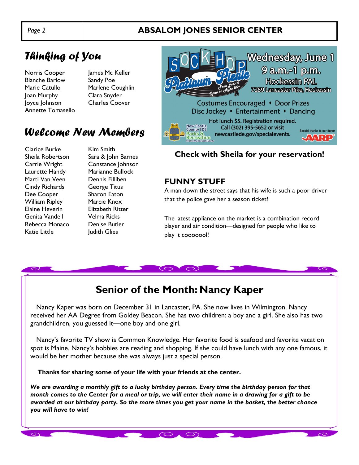### *Page 2* **ABSALOM JONES SENIOR CENTER**

# *Thinking of You*

Norris Cooper James Mc Keller Blanche Barlow Sandy Poe Marie Catullo Marlene Coughlin Joan Murphy Clara Snyder Joyce Johnson Charles Coover Annette Tomasello

# *Welcome New Members*

Clarice Burke Kim Smith Marti Van Veen Dennis Filliben Cindy Richards George Titus Dee Cooper Sharon Eaton William Ripley Marcie Knox Elaine Heverin Elizabeth Ritter Genita Vandell Velma Ricks Rebecca Monaco Denise Butler Katie Little **Internal Indian Value** Judith Glies

Sheila Robertson Sara & John Barnes Carrie Wright Constance Johnson Laurette Handy Marianne Bullock



**Check with Sheila for your reservation!** 

#### **FUNNY STUFF**

A man down the street says that his wife is such a poor driver that the police gave her a season ticket!

The latest appliance on the market is a combination record player and air condition—designed for people who like to play it cooooool!

# **Senior of the Month: Nancy Kaper**

 Nancy Kaper was born on December 31 in Lancaster, PA. She now lives in Wilmington. Nancy received her AA Degree from Goldey Beacon. She has two children: a boy and a girl. She also has two grandchildren, you guessed it—one boy and one girl.

 Nancy's favorite TV show is Common Knowledge. Her favorite food is seafood and favorite vacation spot is Maine. Nancy's hobbies are reading and shopping. If she could have lunch with any one famous, it would be her mother because she was always just a special person.

 **Thanks for sharing some of your life with your friends at the center.** 

*We are awarding a monthly gift to a lucky birthday person. Every time the birthday person for that month comes to the Center for a meal or trip, we will enter their name in a drawing for a gift to be awarded at our birthday party. So the more times you get your name in the basket, the better chance you will have to win!* 

 $O \setminus O$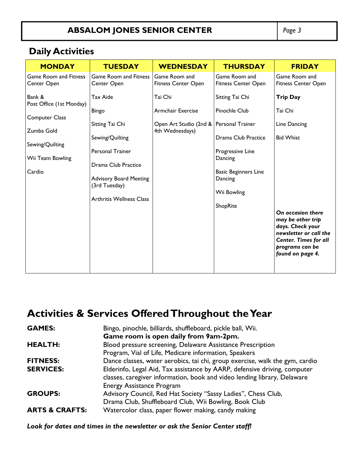# **ABSALOM JONES SENIOR CENTER** *Page 3*

# **Daily Activities**

| <b>MONDAY</b>                                       | <b>TUESDAY</b>                                                      | <b>WEDNESDAY</b>                            | <b>THURSDAY</b>                                                                         | <b>FRIDAY</b>                                                                                |
|-----------------------------------------------------|---------------------------------------------------------------------|---------------------------------------------|-----------------------------------------------------------------------------------------|----------------------------------------------------------------------------------------------|
| <b>Game Room and Fitness</b><br>Center Open         | <b>Game Room and Fitness</b><br>Center Open                         | Game Room and<br><b>Fitness Center Open</b> | Game Room and<br><b>Fitness Center Open</b>                                             | Game Room and<br>Fitness Center Open                                                         |
|                                                     |                                                                     |                                             |                                                                                         |                                                                                              |
| Bank &<br>Post Office (1st Monday)                  | <b>Tax Aide</b>                                                     | Tai Chi                                     | Sitting Tai Chi                                                                         | <b>Trip Day</b>                                                                              |
|                                                     | <b>Bingo</b>                                                        | Armchair Exercise                           | Pinochle Club                                                                           | Tai Chi                                                                                      |
|                                                     |                                                                     |                                             |                                                                                         |                                                                                              |
| Zumba Gold                                          |                                                                     | 4th Wednesdays)                             |                                                                                         |                                                                                              |
| Sewing/Quilting                                     |                                                                     |                                             |                                                                                         |                                                                                              |
|                                                     | <b>Personal Trainer</b>                                             |                                             | Progressive Line                                                                        |                                                                                              |
|                                                     | Drama Club Practice                                                 |                                             |                                                                                         |                                                                                              |
|                                                     |                                                                     |                                             |                                                                                         |                                                                                              |
|                                                     | (3rd Tuesday)                                                       |                                             |                                                                                         |                                                                                              |
|                                                     | <b>Arthritis Wellness Class</b>                                     |                                             |                                                                                         |                                                                                              |
|                                                     |                                                                     |                                             | ShopRite                                                                                |                                                                                              |
|                                                     |                                                                     |                                             |                                                                                         | may be other trip                                                                            |
|                                                     |                                                                     |                                             |                                                                                         | newsletter or call the                                                                       |
|                                                     |                                                                     |                                             |                                                                                         | <b>Center. Times for all</b>                                                                 |
|                                                     |                                                                     |                                             |                                                                                         | found on page 4.                                                                             |
|                                                     |                                                                     |                                             |                                                                                         |                                                                                              |
| <b>Computer Class</b><br>Wii Team Bowling<br>Cardio | Sitting Tai Chi<br>Sewing/Quilting<br><b>Advisory Board Meeting</b> | Open Art Studio (2nd & Personal Trainer     | Drama Club Practice<br>Dancing<br><b>Basic Beginners Line</b><br>Dancing<br>Wii Bowling | Line Dancing<br><b>Bid Whist</b><br>On occasion there<br>days. Check your<br>programs can be |

# **Activities & Services Offered Throughout the Year**

| <b>GAMES:</b>             | Bingo, pinochle, billiards, shuffleboard, pickle ball, Wii.                                                  |  |  |
|---------------------------|--------------------------------------------------------------------------------------------------------------|--|--|
|                           | Game room is open daily from 9am-2pm.                                                                        |  |  |
| <b>HEALTH:</b>            | Blood pressure screening, Delaware Assistance Prescription                                                   |  |  |
|                           | Program, Vial of Life, Medicare information, Speakers                                                        |  |  |
| <b>FITNESS:</b>           | Dance classes, water aerobics, tai chi, group exercise, walk the gym, cardio                                 |  |  |
| <b>SERVICES:</b>          | Elderinfo, Legal Aid, Tax assistance by AARP, defensive driving, computer                                    |  |  |
|                           | classes, caregiver information, book and video lending library, Delaware<br><b>Energy Assistance Program</b> |  |  |
| <b>GROUPS:</b>            | Advisory Council, Red Hat Society "Sassy Ladies", Chess Club,                                                |  |  |
|                           | Drama Club, Shuffleboard Club, Wii Bowling, Book Club                                                        |  |  |
| <b>ARTS &amp; CRAFTS:</b> | Watercolor class, paper flower making, candy making                                                          |  |  |

*Look for dates and times in the newsletter or ask the Senior Center staff!*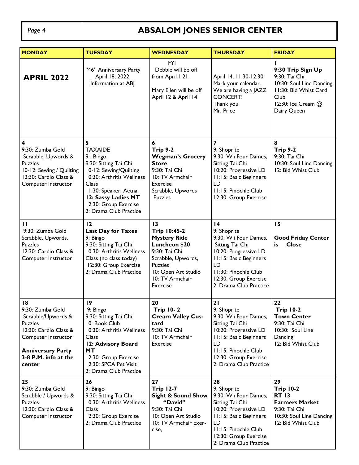# Page 4 **ABSALOM JONES SENIOR CENTER**

| <b>MONDAY</b>                                                                                                                                                                | <b>TUESDAY</b>                                                                                                                                                                                                               | <b>WEDNESDAY</b>                                                                                                                                                                        | <b>THURSDAY</b>                                                                                                                                                                                                | <b>FRIDAY</b>                                                                                                                        |
|------------------------------------------------------------------------------------------------------------------------------------------------------------------------------|------------------------------------------------------------------------------------------------------------------------------------------------------------------------------------------------------------------------------|-----------------------------------------------------------------------------------------------------------------------------------------------------------------------------------------|----------------------------------------------------------------------------------------------------------------------------------------------------------------------------------------------------------------|--------------------------------------------------------------------------------------------------------------------------------------|
| <b>APRIL 2022</b>                                                                                                                                                            | "46" Anniversary Party<br>April 18, 2022<br>Information at ABJ                                                                                                                                                               | <b>FYI</b><br>Debbie will be off<br>from April 121.<br>Mary Ellen will be off<br>April 12 & April 14                                                                                    | April 14, 11:30-12:30.<br>Mark your calendar.<br>We are having a JAZZ<br><b>CONCERT!</b><br>Thank you<br>Mr. Price                                                                                             | 9:30 Trip Sign Up<br>9:30: Tai Chi<br>10:30: Soul Line Dancing<br>11:30: Bid Whist Card<br>Club<br>12:30: Ice Cream @<br>Dairy Queen |
| 4<br>9:30: Zumba Gold<br>Scrabble, Upwords &<br><b>Puzzles</b><br>10-12: Sewing / Quilting<br>12:30: Cardio Class &<br>Computer Instructor                                   | 5<br><b>TAXAIDE</b><br>9: Bingo,<br>9:30: Sitting Tai Chi<br>10-12: Sewing/Quilting<br>10:30: Arthritis Wellness<br>Class<br>II:30: Speaker: Aetna<br>12: Sassy Ladies MT<br>12:30: Group Exercise<br>2: Drama Club Practice | 6<br><b>Trip 9-2</b><br><b>Wegman's Grocery</b><br><b>Store</b><br>9:30: Tai Chi<br>10: TV Armchair<br>Exercise<br>Scrabble, Upwords<br><b>Puzzles</b>                                  | $\overline{\mathbf{z}}$<br>9: Shoprite<br>9:30: Wii Four Dames,<br>Sitting Tai Chi<br>10:20: Progressive LD<br><b>11:15: Basic Beginners</b><br>LD<br>11:15: Pinochle Club<br>12:30: Group Exercise            | 8<br><b>Trip 9-2</b><br>9:30: Tai Chi<br>10:30: Soul Line Dancing<br>12: Bid Whist Club                                              |
| $\mathbf{H}$<br>9:30: Zumba Gold<br>Scrabble, Upwords,<br><b>Puzzles</b><br>12:30: Cardio Class &<br>Computer Instructor                                                     | 12<br><b>Last Day for Taxes</b><br>9: Bingo<br>9:30: Sitting Tai Chi<br>10:30: Arthritis Wellness<br>Class (no class today)<br>12:30: Group Exercise<br>2: Drama Club Practice                                               | 13<br><b>Trip 10:45-2</b><br><b>Mystery Ride</b><br><b>Luncheon \$20</b><br>9:30: Tai Chi<br>Scrabble, Upwords,<br><b>Puzzles</b><br>10: Open Art Studio<br>10: TV Armchair<br>Exercise | $\overline{14}$<br>9: Shoprite<br>9:30: Wii Four Dames,<br>Sitting Tai Chi<br>10:20: Progressive LD<br>11:15: Basic Beginners<br>LD<br>11:30: Pinochle Club<br>12:30: Group Exercise<br>2: Drama Club Practice | 15<br><b>Good Friday Center</b><br><b>Close</b><br>is                                                                                |
| 18<br>9:30: Zumba Gold<br>Scrabble/Upwords &<br><b>Puzzles</b><br>12:30: Cardio Class &<br>Computer Instructor<br><b>Anniversary Party</b><br>3-8 P.M. info at the<br>center | 9<br>9: Bingo<br>9:30: Sitting Tai Chi<br>10: Book Club<br>10:30: Arthritis Wellness<br><b>Class</b><br>12: Advisory Board<br>МT<br>12:30: Group Exercise<br>12:30: SPCA Pet Visit<br>2: Drama Club Practice                 | 20<br>Trip 10- 2<br><b>Cream Valley Cus-</b><br>tard<br>9:30: Tai Chi<br>10: TV Armchair<br>Exercise                                                                                    | 21<br>9: Shoprite<br>9:30: Wii Four Dames,<br>Sitting Tai Chi<br>10:20: Progressive LD<br>11:15: Basic Beginners<br>LD<br>11:15: Pinochle Club<br>12:30: Group Exercise<br>2: Drama Club Practice              | 22<br><b>Trip 10-2</b><br><b>Town Center</b><br>9:30: Tai Chi<br>10:30: Soul Line<br>Dancing<br>12: Bid Whist Club                   |
| 25<br>9:30: Zumba Gold<br>Scrabble / Upwords &<br><b>Puzzles</b><br>12:30: Cardio Class &<br>Computer Instructor                                                             | 26<br>9: Bingo<br>9:30: Sitting Tai Chi<br>10:30: Arthritis Wellness<br><b>Class</b><br>12:30: Group Exercise<br>2: Drama Club Practice                                                                                      | 27<br><b>Trip 12-7</b><br><b>Sight &amp; Sound Show</b><br>"David"<br>9:30: Tai Chi<br>10: Open Art Studio<br>10: TV Armchair Exer-<br>cise,                                            | 28<br>9: Shoprite<br>9:30: Wii Four Dames,<br>Sitting Tai Chi<br>10:20: Progressive LD<br>11:15: Basic Beginners<br>LD<br>11:15: Pinochle Club<br>12:30: Group Exercise<br>2: Drama Club Practice              | 29<br><b>Trip 10-2</b><br><b>RT 13</b><br><b>Farmers Market</b><br>9:30: Tai Chi<br>10:30: Soul Line Dancing<br>12: Bid Whist Club   |